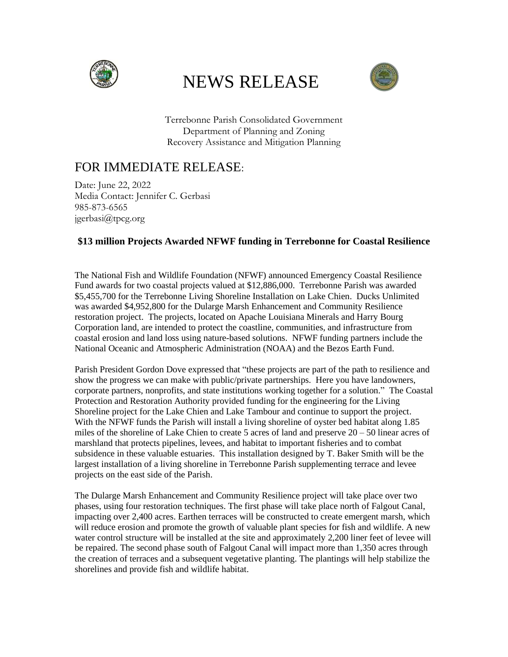

## NEWS RELEASE



Terrebonne Parish Consolidated Government Department of Planning and Zoning Recovery Assistance and Mitigation Planning

## FOR IMMEDIATE RELEASE:

Date: June 22, 2022 Media Contact: Jennifer C. Gerbasi 985-873-6565 jgerbasi@tpcg.org

## **\$13 million Projects Awarded NFWF funding in Terrebonne for Coastal Resilience**

The National Fish and Wildlife Foundation (NFWF) announced Emergency Coastal Resilience Fund awards for two coastal projects valued at \$12,886,000. Terrebonne Parish was awarded \$5,455,700 for the Terrebonne Living Shoreline Installation on Lake Chien. Ducks Unlimited was awarded \$4,952,800 for the Dularge Marsh Enhancement and Community Resilience restoration project. The projects, located on Apache Louisiana Minerals and Harry Bourg Corporation land, are intended to protect the coastline, communities, and infrastructure from coastal erosion and land loss using nature-based solutions. NFWF funding partners include the National Oceanic and Atmospheric Administration (NOAA) and the Bezos Earth Fund.

Parish President Gordon Dove expressed that "these projects are part of the path to resilience and show the progress we can make with public/private partnerships. Here you have landowners, corporate partners, nonprofits, and state institutions working together for a solution." The Coastal Protection and Restoration Authority provided funding for the engineering for the Living Shoreline project for the Lake Chien and Lake Tambour and continue to support the project. With the NFWF funds the Parish will install a living shoreline of oyster bed habitat along 1.85 miles of the shoreline of Lake Chien to create 5 acres of land and preserve  $20 - 50$  linear acres of marshland that protects pipelines, levees, and habitat to important fisheries and to combat subsidence in these valuable estuaries. This installation designed by T. Baker Smith will be the largest installation of a living shoreline in Terrebonne Parish supplementing terrace and levee projects on the east side of the Parish.

The Dularge Marsh Enhancement and Community Resilience project will take place over two phases, using four restoration techniques. The first phase will take place north of Falgout Canal, impacting over 2,400 acres. Earthen terraces will be constructed to create emergent marsh, which will reduce erosion and promote the growth of valuable plant species for fish and wildlife. A new water control structure will be installed at the site and approximately 2,200 liner feet of levee will be repaired. The second phase south of Falgout Canal will impact more than 1,350 acres through the creation of terraces and a subsequent vegetative planting. The plantings will help stabilize the shorelines and provide fish and wildlife habitat.